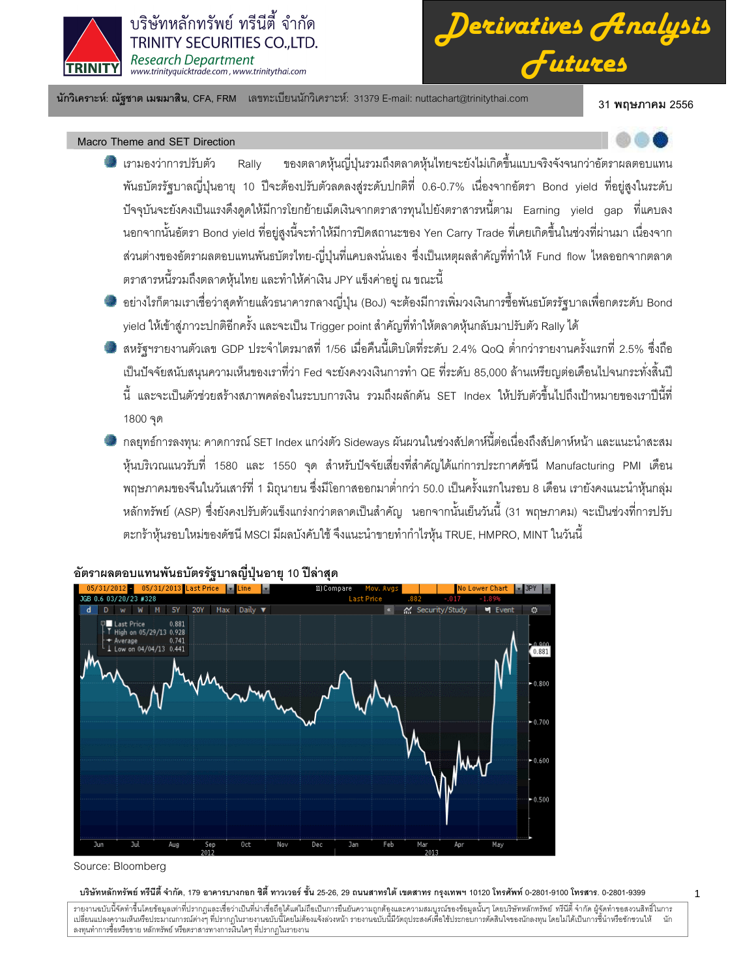

บริษัทหลักทรัพย์ ทรีนีตี้ จำกัด **TRINITY SECURITIES CO..LTD. Research Department** www.trinityquicktrade.com, www.trinitythai.com

*Derivatives Analysis Futures*

นักวิเคราะห์: ณัฐชาต เมฆมาสิน, CFA, FRM แลขทะเบียนนักวิเคราะห์: 31379 E-mail: nuttachart@trinitythai.com 31 **พ** 

31 พถษภาคม 2556

Macro Theme and SET Direction

- เ<mark>รามองว่าการปรั</mark> ับตัว Rally ของตลาดหุ้นญี่ปุ่นรวมถึงตลาดหุ้นไทยจะยังไม่เกิดขึ้นแบบจริงจังจนกว่าอัตราผลตอบแทน พันธบัตรรัฐบาลญี่ปุ่นอายุ 10 ปีจะต้องปรับตัวลดลงสู่ระดับปกติที่ 0.6-0.7% เนื่องจากอัตรา Bond yield ที่อยู่สูงในระดับ ปัจจุบันจะยังคงเป็นแรงดึงดูดให้มีการโยกย้ายเม็ดเงินจากตราสารหุนไปยังตราสารหนี้ตาม Earning yield gap ที่แคบลง นอกจากนั้นอัตรา Bond yield ที่อยู่สูงนี้จะทำให้มีการปิดสถานะของ Yen Carry Trade ที่เคยเกิดขึ้นในช่วงที่ผ่านมา เนื่องจาก ส่วนต่างของอัตราผลตอบแทนพันธบัตรไทย-ญี่ปุ่นที่แคบลงนั่นเอง ซึ่งเป็นเหตุผลสำคัญที่ทำให้ Fund flow ไหลออกจากตลาด ตราสารหนี้รวมถึงตลาดหุ้นไทย และทำให้ค่าเงิน JPY แข็งค่าอยู่ ณ ขณะนี้
- อย่างไรก็ตามเราเชื่อว่าสุดท้ายแล้วธนาคารกลางญี่ปุ่น (BoJ) จะต้องมีการเพิ่มวงเงินการซื้อพันธบัตรรัฐบาลเพื่อกดระดับ Bond yield ให้เข้าสู่ภาวะปกติอีกครั้ง และจะเป็น Trigger point สำคัญที่ทำให้ตลาดหุ้นกลับมาปรับตัว Rally ได้
- สหรัฐฯรายงานตัวเลข GDP ประจำไตรมาสที่ 1/56 เมื่อคืนนี้เติบโตที่ระดับ 2.4% QoQ ต่ำกว่ารายงานครั้งแรกที่ 2.5% ซึ่งถือ เป็นปัจจัยสนับสนุนความเห็นของเราที่ว่า Fed จะยังคงวงเงินการทำ QE ที่ระดับ 85,000 ล้านเหรียญต่อเดือนไปจนกระทั่งสิ้นปี ֧֚֚֝<br>֧֚֝ นี้ และจะเป็นตัวช่วยสร้างสภาพคล่องในระบบการเงิน รวมถึงผลักดัน SET Index ให้ปรับตัวขึ้นไปถึงเป้าหมายของเราปีนี้ที่ 1800 จุด
- กลยุทธ์การลงทุน: คาดการณ์ SET Index แกว่งตัว Sideways ผันผวนในช่วงสัปดาห์นี้ต่อเนื่องถึงสัปดาห์หน้า และแนะนำสะสม หุ้นบริเวณแนวรับที่ 1580 และ 1550 จุด สำหรับปัจจัยเสี่ยงที่สำคัญได้แก่การประกาศดัชนี Manufacturing PMI เดือน พฤษภาคมของจีนในวันเสาร์ที่ 1 มิถุนายน ซึ่งมีโอกาสออกมาต่ำกว่า 50.0 เป็นครั้งแรกในรอบ 8 เดือน เรายังคงแนะนำหุ้นกลุ่ม หลักทรัพย์ (ASP) ซึ่งยังคงปรับตัวแข็งแกร่งกว่าตลาดเป็นสำคัญ นอกจากนั้นเย็นวันนี้ (31 พฤษภาคม) จะเป็นช่วงที่การปรับ ตะกร้าหุ้นรอบใหม่ของดัชนี MSCI มีผลบังคับใช้ จึงแนะนำขายทำกำไรหุ้น TRUE, HMPRO, MINT ในวันนี้



# อัตราผลตอบแทนพันธบัตรรัฐบาลญี่ปุ่นอายุ 10 ปีล่าสุด

## บริษัทหลักทรัพย์ ทรีนีตี้ จำกัด, 179 อาคารบางกอก ซิตี้ ทาวเวอร์ ชั้น 25-26, 29 ถนนสาทรได้ เขตสาร กรุงเทพฯ 10120 โทรศัพท์ 0-2801-9399 คำสาร. 0-2801-9399

Source: Bloomberg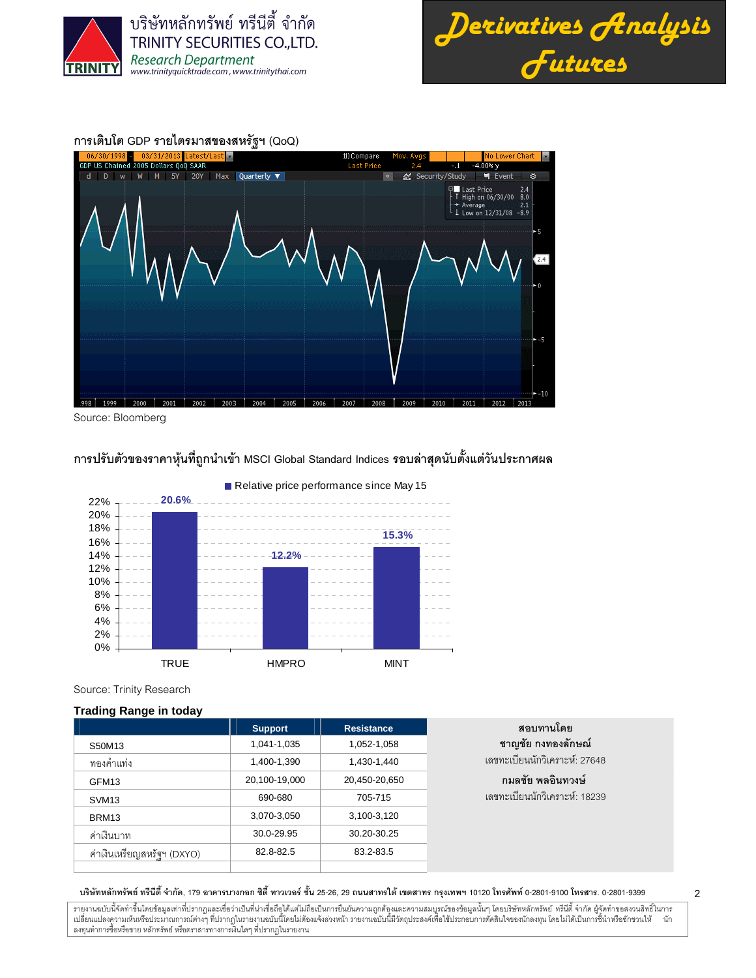





Source: Bloomberg

การปรับตัวของราคาหุ้นที่ถูกนำเข้า MSCI Global Standard Indices รอบล่าสุดนับตั้งแต่วันประกาศผล



Relative price performance since May 15

Source: Trinity Research

### **Trading Range in today**

|                            | <b>Support</b> | <b>Resistance</b> | สอบทานโดย                     |
|----------------------------|----------------|-------------------|-------------------------------|
| S50M13                     | 1,041-1,035    | 1,052-1,058       | ชาญชัย กงทองลักษณ์            |
| ทองคำแท่ง                  | 1,400-1,390    | 1,430-1,440       | เลขทะเบียนนักวิเคราะห์: 27648 |
| GFM <sub>13</sub>          | 20,100-19,000  | 20,450-20,650     | ึกมลชัย พลอินทวงษ์            |
| SVM <sub>13</sub>          | 690-680        | 705-715           | เลขทะเบียนนักวิเคราะห์: 18239 |
| BRM <sub>13</sub>          | 3,070-3,050    | 3,100-3,120       |                               |
| ค่าเงินบาท                 | 30.0-29.95     | 30.20-30.25       |                               |
| ค่าเงินเหรียญสหรัฐฯ (DXYO) | 82.8-82.5      | 83.2-83.5         |                               |
|                            |                |                   |                               |

บริษัทหลักทรัพย์ ทรีนีตี้ จำกัด, 179 อาคารบางกอก ซิตี้ ทาวเวอร์ ชั้น 25-26, 29 ถนนสาทรได้ เขตสาร กรุงเทพฯ 10120 โทรศัพท์ 0-2801-9399 คำสาร. 0-2801-9399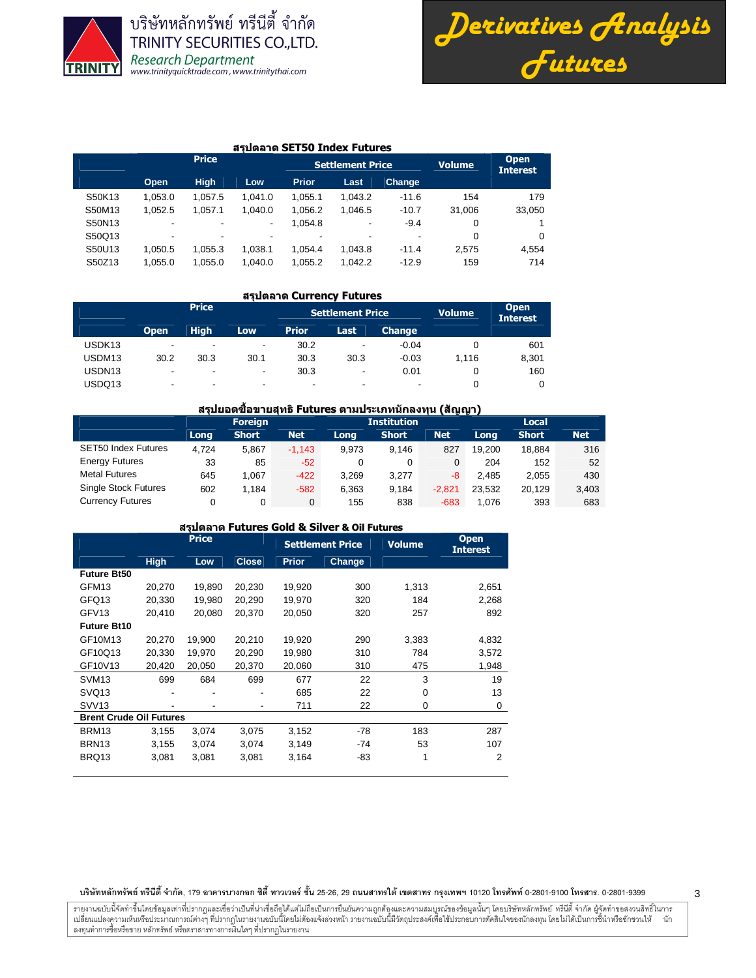

บริษัทหลักทรัพย์ ทรีนีตี้ จำกัด TRINITY SECURITIES CO., LTD. Research Department<br>www.trinityquicktrade.com, www.trinitythai.com



## สรุปตลาด SET50 Index Futures

|        |                          | <b>Price</b>             |         |                          | <b>Settlement Price</b> | <b>Volume</b> | <b>Open</b><br><b>Interest</b> |          |
|--------|--------------------------|--------------------------|---------|--------------------------|-------------------------|---------------|--------------------------------|----------|
|        | Open                     | <b>High</b>              | Low     | <b>Prior</b>             | Last                    | <b>Change</b> |                                |          |
| S50K13 | 1.053.0                  | 1.057.5                  | 1.041.0 | 1.055.1                  | 1.043.2                 | $-11.6$       | 154                            | 179      |
| S50M13 | 1.052.5                  | 1.057.1                  | 1.040.0 | 1.056.2                  | 1.046.5                 | $-10.7$       | 31.006                         | 33,050   |
| S50N13 | $\overline{\phantom{a}}$ | $\overline{\phantom{0}}$ | -       | 1.054.8                  | ٠                       | $-9.4$        | 0                              |          |
| S50Q13 | $\overline{\phantom{0}}$ | $\overline{\phantom{0}}$ | ٠       | $\overline{\phantom{a}}$ | -                       | ٠             | 0                              | $\Omega$ |
| S50U13 | 1.050.5                  | 1.055.3                  | 1.038.1 | 1.054.4                  | 1.043.8                 | $-11.4$       | 2.575                          | 4.554    |
| S50Z13 | 1.055.0                  | 1.055.0                  | 1.040.0 | 1.055.2                  | 1.042.2                 | $-12.9$       | 159                            | 714      |

### สรุปตลาด Currency Futures

|                    |                          | <b>Price</b> |                          |              | <b>Settlement Price</b>  |               | <b>Volume</b> | <b>Open</b><br><b>Interest</b> |
|--------------------|--------------------------|--------------|--------------------------|--------------|--------------------------|---------------|---------------|--------------------------------|
|                    | <b>Open</b>              | <b>High</b>  | Low.                     | <b>Prior</b> | Last                     | <b>Change</b> |               |                                |
| USDK <sub>13</sub> | ٠                        | ۰            | $\overline{\phantom{a}}$ | 30.2         | ٠                        | $-0.04$       |               | 601                            |
| USDM13             | 30.2                     | 30.3         | 30.1                     | 30.3         | 30.3                     | $-0.03$       | 1.116         | 8,301                          |
| USDN <sub>13</sub> | $\overline{\phantom{a}}$ | ۰            | $\overline{\phantom{a}}$ | 30.3         | $\overline{\phantom{a}}$ | 0.01          |               | 160                            |
| USDQ13             | ۰                        | ۰            | $\overline{\phantom{a}}$ | ۰            | ۰                        |               |               |                                |

## ี่ สรุปยอดซื้อขายสุทธิ Futures ตามประเภทนักลงทุน (สัญญา)

|                             | <b>Foreign</b> |              |            |       | <b>Institution</b> | .          | Local  |              |            |
|-----------------------------|----------------|--------------|------------|-------|--------------------|------------|--------|--------------|------------|
|                             | Long           | <b>Short</b> | <b>Net</b> | Long  | <b>Short</b>       | <b>Net</b> | Long   | <b>Short</b> | <b>Net</b> |
| <b>SET50 Index Futures</b>  | 4.724          | 5.867        | $-1.143$   | 9.973 | 9.146              | 827        | 19.200 | 18.884       | 316        |
| <b>Energy Futures</b>       | 33             | 85           | $-52$      | 0     | 0                  |            | 204    | 152          | 52         |
| <b>Metal Futures</b>        | 645            | 1.067        | $-422$     | 3.269 | 3.277              | -8         | 2.485  | 2,055        | 430        |
| <b>Single Stock Futures</b> | 602            | 1.184        | $-582$     | 6.363 | 9,184              | $-2.821$   | 23.532 | 20.129       | 3,403      |
| <b>Currency Futures</b>     |                | 0            | 0          | 155   | 838                | $-683$     | 1.076  | 393          | 683        |

## สรุปตลาด Futures Gold & Silver & Oil Futures

|                                |             | <b>Price</b> |              |              | <b>Settlement Price</b> | <b>Volume</b> | <b>Open</b><br><b>Interest</b> |
|--------------------------------|-------------|--------------|--------------|--------------|-------------------------|---------------|--------------------------------|
|                                | <b>High</b> | Low          | <b>Close</b> | <b>Prior</b> | Change                  |               |                                |
| <b>Future Bt50</b>             |             |              |              |              |                         |               |                                |
| GFM <sub>13</sub>              | 20,270      | 19,890       | 20,230       | 19,920       | 300                     | 1,313         | 2,651                          |
| GFQ13                          | 20,330      | 19,980       | 20,290       | 19,970       | 320                     | 184           | 2,268                          |
| GFV <sub>13</sub>              | 20,410      | 20,080       | 20,370       | 20,050       | 320                     | 257           | 892                            |
| <b>Future Bt10</b>             |             |              |              |              |                         |               |                                |
| GF10M13                        | 20,270      | 19,900       | 20,210       | 19,920       | 290                     | 3,383         | 4,832                          |
| GF10Q13                        | 20,330      | 19,970       | 20,290       | 19,980       | 310                     | 784           | 3,572                          |
| GF10V13                        | 20,420      | 20,050       | 20,370       | 20,060       | 310                     | 475           | 1,948                          |
| SVM <sub>13</sub>              | 699         | 684          | 699          | 677          | 22                      | 3             | 19                             |
| SVQ <sub>13</sub>              |             |              |              | 685          | 22                      | 0             | 13                             |
| SVV <sub>13</sub>              |             |              | ۰            | 711          | 22                      | 0             | 0                              |
| <b>Brent Crude Oil Futures</b> |             |              |              |              |                         |               |                                |
| BRM <sub>13</sub>              | 3,155       | 3,074        | 3,075        | 3,152        | -78                     | 183           | 287                            |
| BRN <sub>13</sub>              | 3,155       | 3,074        | 3,074        | 3,149        | -74                     | 53            | 107                            |
| BRQ13                          | 3,081       | 3,081        | 3,081        | 3,164        | -83                     | 1             | 2                              |

#### บริษัทหลักทรัพย์ ทรีนีตี้ จำกัด, 179 อาคารบางกอก ซิตี้ ทาวเวอร์ ชั้น 25-26, 29 ถนนสาทรได้ เขตสาร กรุงเทพฯ 10120 โทรศัพท์ 0-2801-9399 คำสาร. 0-2801-9399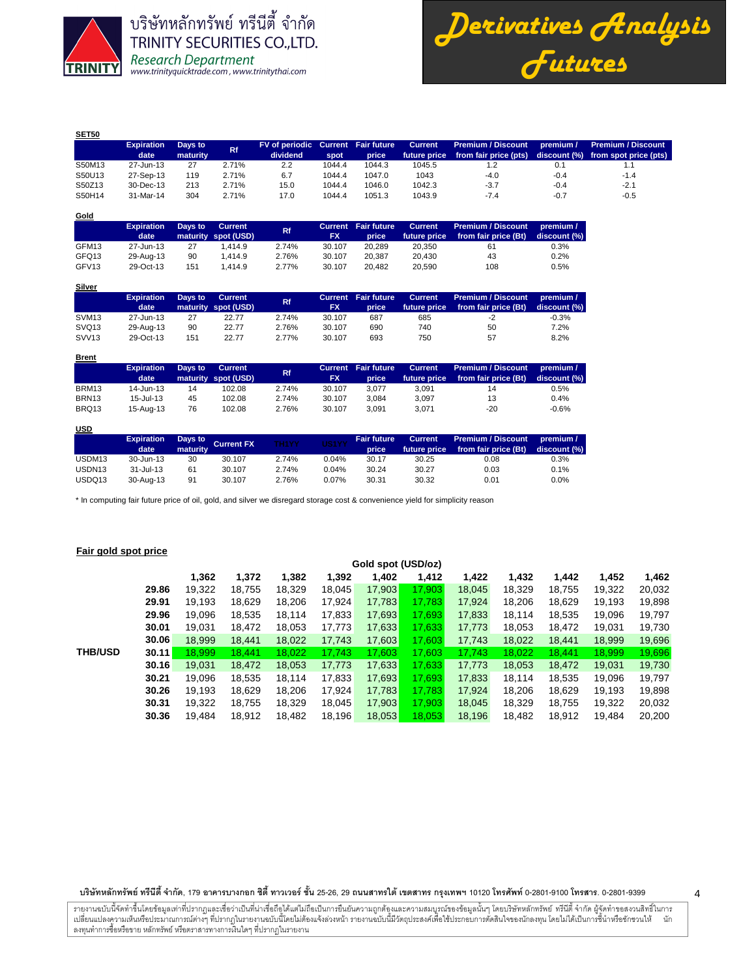

บริษัทหลักทรัพย์ ทรีนี้ตี้ จำกัด TRINITY SECURITIES CO., LTD. Research Department<br>www.trinityquicktrade.com, www.trinitythai.com

*Derivatives Analysis Futures*

**premium /** 

| <b>SET50</b> |                   |          |       |                                    |        |        |                |                           |           |                                     |
|--------------|-------------------|----------|-------|------------------------------------|--------|--------|----------------|---------------------------|-----------|-------------------------------------|
|              | <b>Expiration</b> | Days to  | Rf.   | FV of periodic Current Fair future |        |        | <b>Current</b> | <b>Premium / Discount</b> | premium / | <b>Premium / Discount</b>           |
|              | date              | maturity |       | dividend                           | spot   | price  | future price   | from fair price (pts)     |           | discount (%) from spot price (pts). |
| S50M13       | 27-Jun-13         | 27       | 2.71% | 2.2                                | 1044.4 | 1044.3 | 1045.5         |                           | 0.1       | 1.1                                 |
| S50U13       | 27-Sep-13         | 119      | 2.71% | 6.7                                | 1044.4 | 1047.0 | 1043           | $-4.0$                    | $-0.4$    | $-1.4$                              |
| S50Z13       | 30-Dec-13         | 213      | 2.71% | 15.0                               | 1044.4 | 1046.0 | 1042.3         | $-3.7$                    | $-0.4$    | $-2.1$                              |
| S50H14       | 31-Mar-14         | 304      | 2.71% | 17.0                               | 1044.4 | 1051.3 | 1043.9         | $-7.4$                    | $-0.7$    | $-0.5$                              |

| Gold              |                   |         |                     |       |        |                            |                |                           |              |
|-------------------|-------------------|---------|---------------------|-------|--------|----------------------------|----------------|---------------------------|--------------|
|                   | <b>Expiration</b> | Days to | Current             | Rf    |        | <b>Current</b> Fair future | <b>Current</b> | <b>Premium / Discount</b> | premium /    |
|                   | date              |         | maturity spot (USD) |       | FX     | price                      | future price   | from fair price (Bt)      | discount (%) |
| GFM13             | 27-Jun-13         | 27      | 1.414.9             | 2.74% | 30.107 | 20.289                     | 20.350         | 61                        | 0.3%         |
| GFQ13             | 29-Aug-13         | 90      | 1.414.9             | 2.76% | 30.107 | 20.387                     | 20.430         | 43                        | 0.2%         |
| GFV <sub>13</sub> | 29-Oct-13         | 151     | 1.414.9             | 2.77% | 30.107 | 20.482                     | 20.590         | 108                       | 0.5%         |

| Silver |                                   |                                                |
|--------|-----------------------------------|------------------------------------------------|
|        | <b>Expiration</b> Days to Current |                                                |
|        |                                   | <b><i>Contact Charles Contact At LOCAL</i></b> |

|                   | <b>Expiration</b><br>date | Days to | Current<br>maturity spot (USD) | <b>Rf</b> | FX     | Current Fair future<br>price | <b>Current</b><br>future price | <b>Premium / Discount</b><br>from fair price (Bt) | premium /<br>discount (%) |
|-------------------|---------------------------|---------|--------------------------------|-----------|--------|------------------------------|--------------------------------|---------------------------------------------------|---------------------------|
| SVM <sub>13</sub> | 27-Jun-13                 | 27      | 22.77                          | 2.74%     | 30.107 | 687                          | 685                            | -2                                                | $-0.3%$                   |
| SVQ <sub>13</sub> | 29-Aug-13                 | 90      | 22.77                          | 2.76%     | 30.107 | 690                          | 740                            | 50                                                | 7.2%                      |
| SVV <sub>13</sub> | 29-Oct-13                 | 151     | 22.77                          | 2.77%     | 30.107 | 693                          | 750                            | 57                                                | 8.2%                      |

| <b>Brent</b>      |                           |         |                                |           |           |                                     |                                |                                                   |                           |
|-------------------|---------------------------|---------|--------------------------------|-----------|-----------|-------------------------------------|--------------------------------|---------------------------------------------------|---------------------------|
|                   | <b>Expiration</b><br>date | Days to | Current<br>maturity spot (USD) | <b>Rf</b> | <b>FX</b> | <b>Current</b> Fair future<br>price | <b>Current</b><br>future price | <b>Premium / Discount</b><br>from fair price (Bt) | premium /<br>discount (%) |
| BRM13             | 14-Jun-13                 | 14      | 102.08                         | 2.74%     | 30.107    | 3.077                               | 3.091                          | 14                                                | 0.5%                      |
| BRN <sub>13</sub> | $15 -$ Jul-13             | 45      | 102.08                         | 2.74%     | 30.107    | 3.084                               | 3.097                          | 13                                                | 0.4%                      |
| BRQ13             | 15-Aug-13                 | 76      | 102.08                         | 2.76%     | 30.107    | 3.091                               | 3.071                          | $-20$                                             | $-0.6%$                   |

## **USD**

|                    | <b>Expiration</b><br>date | maturity | Days to Current FX | TH <sub>1</sub> YY | US1YY | <b>Fair future</b><br>price | Current | Premium / Discount<br>future price from fair price (Bt) | premium $\Lambda$<br>discount (%) |
|--------------------|---------------------------|----------|--------------------|--------------------|-------|-----------------------------|---------|---------------------------------------------------------|-----------------------------------|
| USDM13             | 30-Jun-13                 | 30       | 30.107             | 2.74%              | 0.04% | 30.17                       | 30.25   | 0.08                                                    | 0.3%                              |
| USDN <sub>13</sub> | 31-Jul-13                 | 61       | 30.107             | 2.74%              | 0.04% | 30.24                       | 30.27   | 0.03                                                    | 0.1%                              |
| USDQ13             | 30-Aug-13                 | 91       | 30.107             | 2.76%              | 0.07% | 30.31                       | 30.32   | 0.01                                                    | $0.0\%$                           |

\* In computing fair future price of oil, gold, and silver we disregard storage cost & convenience yield for simplicity reason

## **Fair gold spot price**

|                |       |        | Gold spot (USD/oz) |        |        |        |        |        |        |        |        |        |  |
|----------------|-------|--------|--------------------|--------|--------|--------|--------|--------|--------|--------|--------|--------|--|
|                |       | 1,362  | 1,372              | 1,382  | 1,392  | 1,402  | 1,412  | 1,422  | 1,432  | 1,442  | 1,452  | 1,462  |  |
|                | 29.86 | 19.322 | 18.755             | 18.329 | 18.045 | 17,903 | 17.903 | 18.045 | 18.329 | 18.755 | 19.322 | 20,032 |  |
|                | 29.91 | 19.193 | 18.629             | 18,206 | 17.924 | 17,783 | 17.783 | 17.924 | 18.206 | 18.629 | 19.193 | 19,898 |  |
|                | 29.96 | 19.096 | 18,535             | 18,114 | 17,833 | 17,693 | 17.693 | 17,833 | 18.114 | 18,535 | 19,096 | 19,797 |  |
|                | 30.01 | 19.031 | 18.472             | 18,053 | 17,773 | 17,633 | 17.633 | 17,773 | 18,053 | 18,472 | 19.031 | 19,730 |  |
|                | 30.06 | 18,999 | 18,441             | 18,022 | 17,743 | 17,603 | 17,603 | 17,743 | 18,022 | 18,441 | 18,999 | 19,696 |  |
| <b>THB/USD</b> | 30.11 | 18.999 | 18.441             | 18.022 | 17.743 | 17,603 | 17.603 | 17.743 | 18,022 | 18,441 | 18,999 | 19,696 |  |
|                | 30.16 | 19,031 | 18,472             | 18.053 | 17,773 | 17,633 | 17,633 | 17,773 | 18,053 | 18,472 | 19,031 | 19,730 |  |
|                | 30.21 | 19.096 | 18,535             | 18,114 | 17,833 | 17,693 | 17.693 | 17,833 | 18.114 | 18,535 | 19.096 | 19,797 |  |
|                | 30.26 | 19.193 | 18,629             | 18.206 | 17.924 | 17,783 | 17.783 | 17.924 | 18.206 | 18.629 | 19,193 | 19,898 |  |
|                | 30.31 | 19.322 | 18.755             | 18.329 | 18.045 | 17,903 | 17.903 | 18.045 | 18.329 | 18.755 | 19,322 | 20,032 |  |
|                | 30.36 | 19.484 | 18.912             | 18,482 | 18.196 | 18,053 | 18.053 | 18,196 | 18.482 | 18.912 | 19.484 | 20,200 |  |

บริษัทหลักทรัพย์ ทรีนีตี้ จำกัด, 179 อาคารบางกอก ซิตี้ ทาวเวอร์ ชั้น 25-26, 29 ถนนสาทรได้ เขตสาร กรุงเทพฯ 10120 โทรศัพท์ 0-2801-9399 คำสาร. 0-2801-9399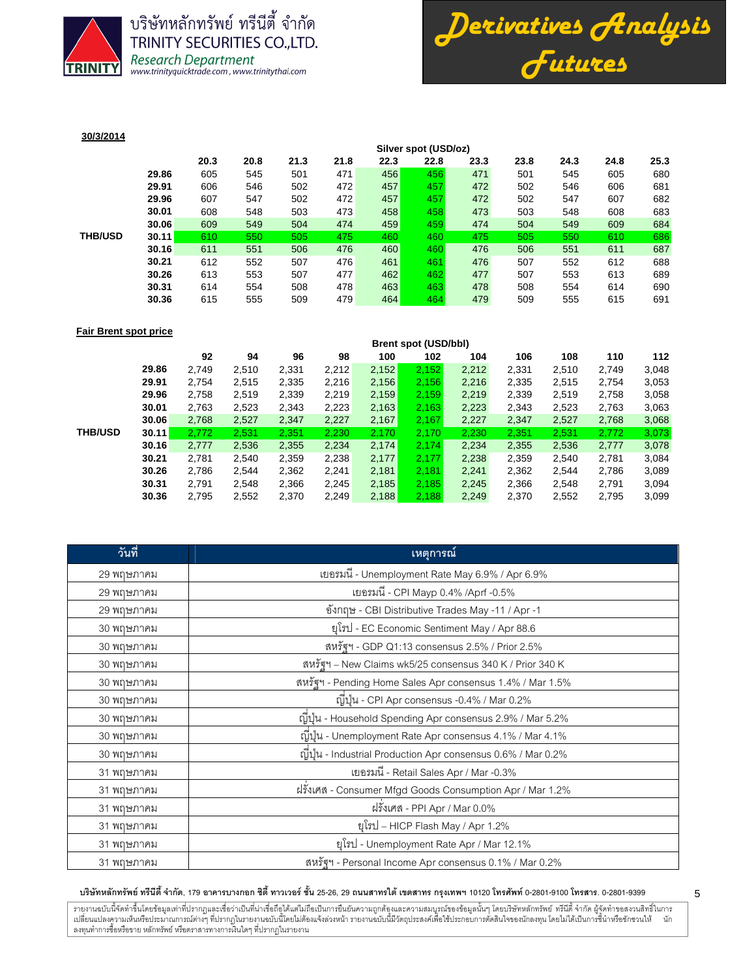

บริษัทหลักทรัพย์ ทรีนีตี้ จำกัด **TRINITY SECURITIES CO., LTD.** Research Department<br>www.trinityquicktrade.com, www.trinitythai.com



## **30/3/2014**

|                |       | Silver spot (USD/oz) |      |      |      |      |      |      |      |      |      |      |
|----------------|-------|----------------------|------|------|------|------|------|------|------|------|------|------|
|                |       | 20.3                 | 20.8 | 21.3 | 21.8 | 22.3 | 22.8 | 23.3 | 23.8 | 24.3 | 24.8 | 25.3 |
|                | 29.86 | 605                  | 545  | 501  | 471  | 456  | 456  | 471  | 501  | 545  | 605  | 680  |
|                | 29.91 | 606                  | 546  | 502  | 472  | 457  | 457  | 472  | 502  | 546  | 606  | 681  |
|                | 29.96 | 607                  | 547  | 502  | 472  | 457  | 457  | 472  | 502  | 547  | 607  | 682  |
|                | 30.01 | 608                  | 548  | 503  | 473  | 458  | 458  | 473  | 503  | 548  | 608  | 683  |
|                | 30.06 | 609                  | 549  | 504  | 474  | 459  | 459  | 474  | 504  | 549  | 609  | 684  |
| <b>THB/USD</b> | 30.11 | 610                  | 550  | 505  | 475  | 460  | 460  | 475  | 505  | 550  | 610  | 686  |
|                | 30.16 | 611                  | 551  | 506  | 476  | 460  | 460  | 476  | 506  | 551  | 611  | 687  |
|                | 30.21 | 612                  | 552  | 507  | 476  | 461  | 461  | 476  | 507  | 552  | 612  | 688  |
|                | 30.26 | 613                  | 553  | 507  | 477  | 462  | 462  | 477  | 507  | 553  | 613  | 689  |
|                | 30.31 | 614                  | 554  | 508  | 478  | 463  | 463  | 478  | 508  | 554  | 614  | 690  |
|                | 30.36 | 615                  | 555  | 509  | 479  | 464  | 464  | 479  | 509  | 555  | 615  | 691  |
|                |       |                      |      |      |      |      |      |      |      |      |      |      |

#### **Fair Brent spot price**

| <b>Brent spot (USD/bbl)</b>                        |  |       |       |       |       |       |       |                |
|----------------------------------------------------|--|-------|-------|-------|-------|-------|-------|----------------|
| 108<br>110<br>106<br>112<br>102<br>104             |  | 100   | 98    | 96    | 94    | 92    |       |                |
| 2,152<br>2,212<br>2,331<br>3,048<br>2,510<br>2,749 |  | 2,152 | 2,212 | 2,331 | 2,510 | 2,749 | 29.86 |                |
| 2,335<br>2,515<br>2,156<br>2,216<br>3,053<br>2,754 |  | 2,156 | 2,216 | 2,335 | 2,515 | 2,754 | 29.91 |                |
| 2,159<br>2,219<br>2,339<br>2,519<br>2,758<br>3,058 |  | 2,159 | 2,219 | 2,339 | 2,519 | 2,758 | 29.96 |                |
| 2,223<br>2,163<br>2,343<br>2,523<br>2,763<br>3,063 |  | 2,163 | 2,223 | 2,343 | 2,523 | 2,763 | 30.01 |                |
| 2,167<br>2,527<br>2,227<br>2,347<br>2,768<br>3,068 |  | 2,167 | 2,227 | 2,347 | 2,527 | 2,768 | 30.06 |                |
| 2,170<br>2,230<br>2,351<br>2,531<br>3,073<br>2,772 |  | 2,170 | 2,230 | 2,351 | 2,531 | 2,772 | 30.11 | <b>THB/USD</b> |
| 2,174<br>2,234<br>2,355<br>2,536<br>2,777<br>3,078 |  | 2,174 | 2,234 | 2,355 | 2,536 | 2,777 | 30.16 |                |
| 2,177<br>2,238<br>2,359<br>2,540<br>2,781<br>3,084 |  | 2,177 | 2,238 | 2,359 | 2,540 | 2,781 | 30.21 |                |
| 2,241<br>2,362<br>2,544<br>2,786<br>3,089<br>2.181 |  | 2,181 | 2,241 | 2,362 | 2,544 | 2,786 | 30.26 |                |
| 2,185<br>2,245<br>2,366<br>2,548<br>2,791<br>3,094 |  | 2,185 | 2,245 | 2,366 | 2.548 | 2.791 | 30.31 |                |
| 2,249<br>2,370<br>2,552<br>2,795<br>3,099<br>2,188 |  | 2,188 | 2,249 | 2,370 | 2,552 | 2,795 | 30.36 |                |
|                                                    |  |       |       |       |       |       |       |                |

| วันที่     | ้เหตุการณ์                                                    |
|------------|---------------------------------------------------------------|
| 29 พฤษภาคม | เยอรมนี - Unemployment Rate May 6.9% / Apr 6.9%               |
| 29 พฤษภาคม | เยอรมนี - CPI Mayp 0.4% /Aprf -0.5%                           |
| 29 พฤษภาคม | ชังกฤษ - CBI Distributive Trades May -11 / Apr -1             |
| 30 พฤษภาคม | ยุโรป - EC Economic Sentiment May / Apr 88.6                  |
| 30 พฤษภาคม | สหรัฐฯ - GDP Q1:13 consensus 2.5% / Prior 2.5%                |
| 30 พฤษภาคม | สหรัฐฯ – New Claims wk5/25 consensus 340 K / Prior 340 K      |
| 30 พฤษภาคม | สหรัฐฯ - Pending Home Sales Apr consensus 1.4% / Mar 1.5%     |
| 30 พฤษภาคม | ญี่ปุ่น - CPI Apr consensus -0.4% / Mar 0.2%                  |
| 30 พฤษภาคม | ญี่ปุ่น - Household Spending Apr consensus 2.9% / Mar 5.2%    |
| 30 พฤษภาคม | ญี่ปุ่น - Unemployment Rate Apr consensus 4.1% / Mar 4.1%     |
| 30 พฤษภาคม | ญี่ปุ่น - Industrial Production Apr consensus 0.6% / Mar 0.2% |
| 31 พฤษภาคม | เยอรมนี - Retail Sales Apr / Mar -0.3%                        |
| 31 พฤษภาคม | ฝรั่งเศส - Consumer Mfgd Goods Consumption Apr / Mar 1.2%     |
| 31 พฤษภาคม | ฝรั่งเศส - PPI Apr / Mar 0.0%                                 |
| 31 พฤษภาคม | ยุโรป – HICP Flash May / Apr 1.2%                             |
| 31 พฤษภาคม | ยูโรป - Unemployment Rate Apr / Mar 12.1%                     |
| 31 พฤษภาคม | สหรัฐฯ - Personal Income Apr consensus 0.1% / Mar 0.2%        |

## บริษัทหลักทรัพย์ ทรีนีตี้ จำกัด, 179 อาคารบางกอก ซิตี้ ทาวเวอร์ ชั้น 25-26, 29 ถนนสาทรได้ เขตสาร กรุงเทพฯ 10120 โทรศัพท์ 0-2801-9399 คำสาร. 0-2801-9399